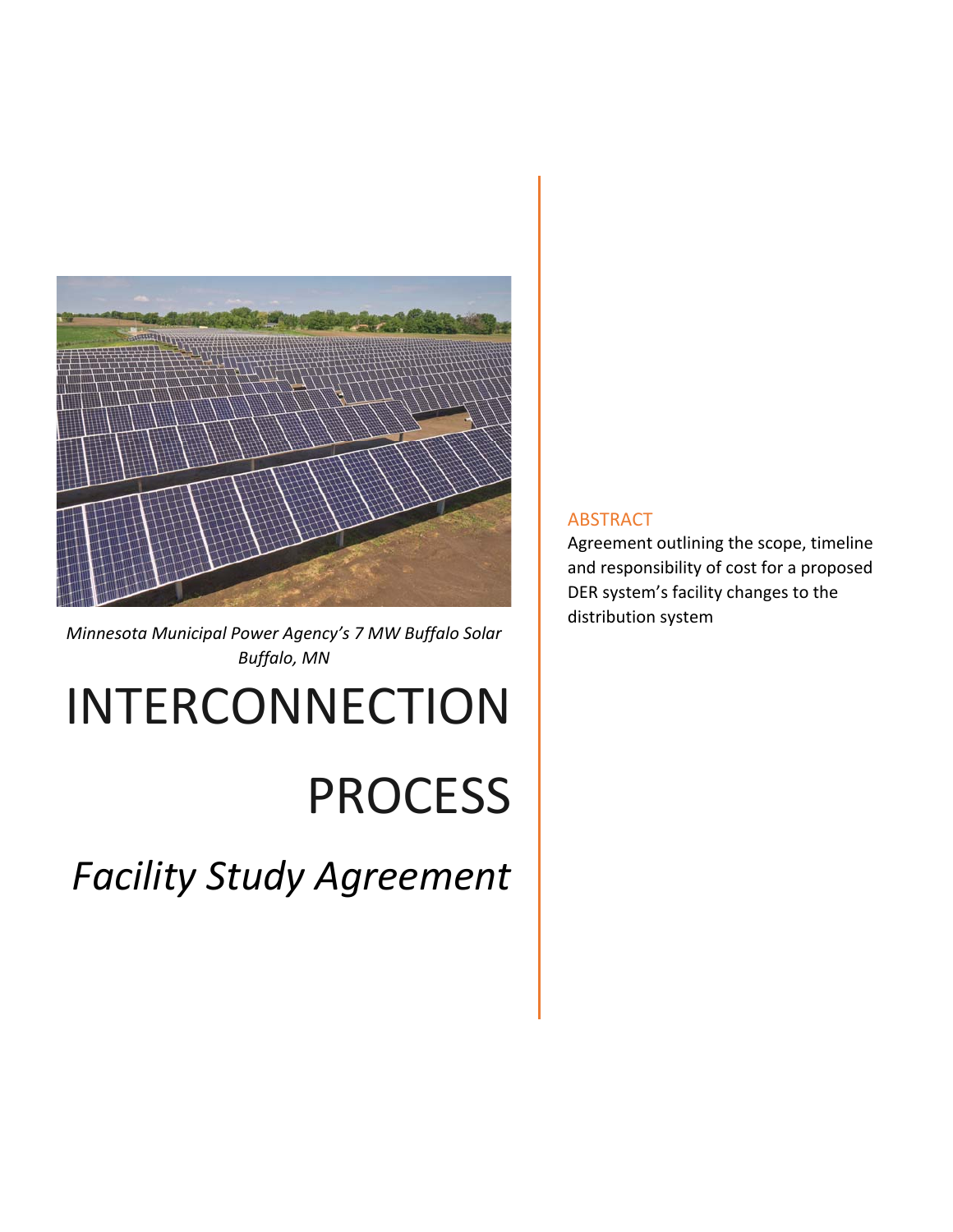

*Minnesota Municipal Power Agency's 7 MW Buffalo Solar Buffalo, MN*

# INTERCONNECTION

## PROCESS

*Facility Study Agreement* 

#### ABSTRACT

Agreement outlining the scope, timeline and responsibility of cost for a proposed DER system's facility changes to the distribution system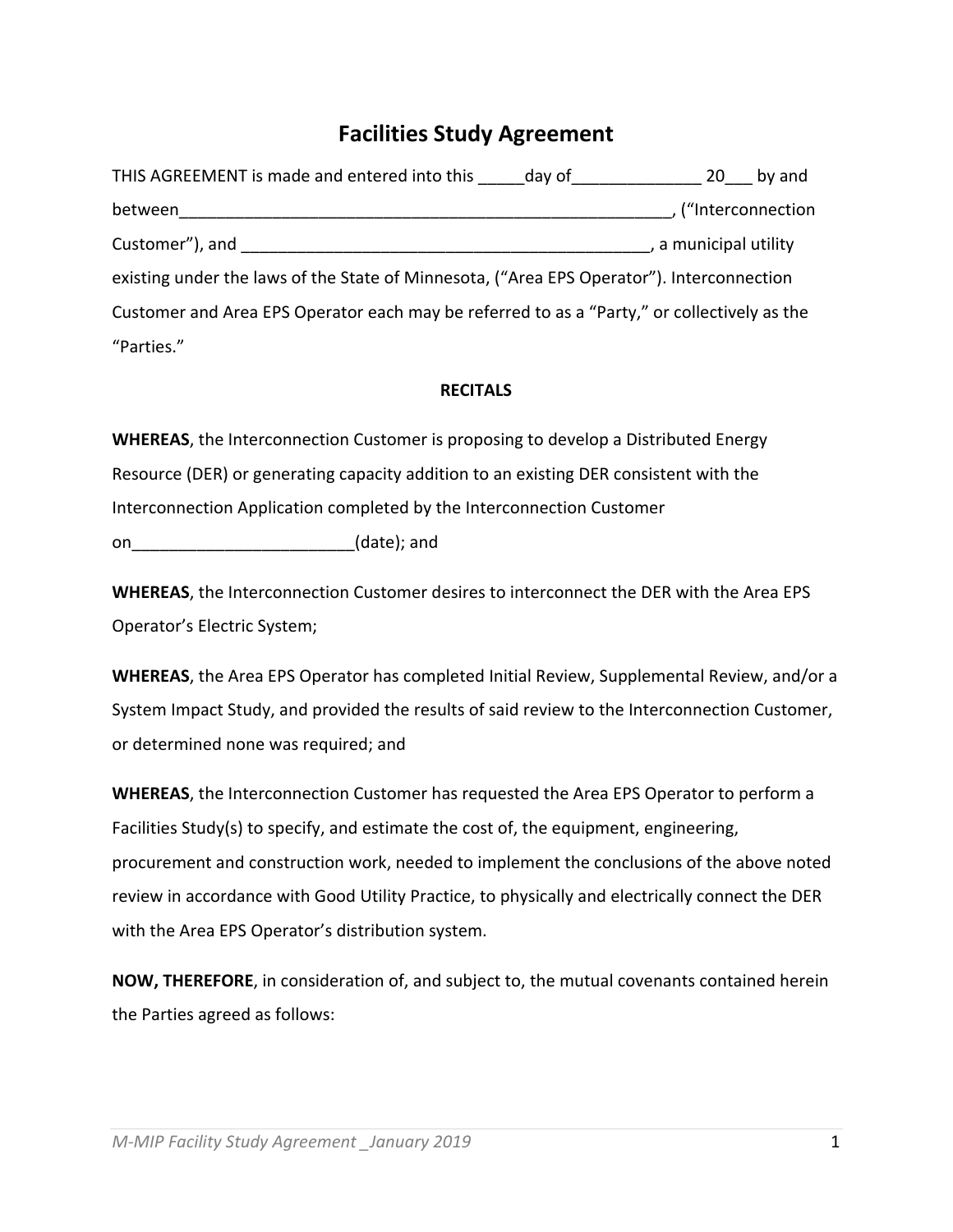### **Facilities Study Agreement**

| THIS AGREEMENT is made and entered into this _____ day of _________                         |  | 20                    | by and            |
|---------------------------------------------------------------------------------------------|--|-----------------------|-------------------|
| between                                                                                     |  |                       | ("Interconnection |
| Customer"), and                                                                             |  | , a municipal utility |                   |
| existing under the laws of the State of Minnesota, ("Area EPS Operator"). Interconnection   |  |                       |                   |
| Customer and Area EPS Operator each may be referred to as a "Party," or collectively as the |  |                       |                   |
| "Parties."                                                                                  |  |                       |                   |

#### **RECITALS**

**WHEREAS**, the Interconnection Customer is proposing to develop a Distributed Energy Resource (DER) or generating capacity addition to an existing DER consistent with the Interconnection Application completed by the Interconnection Customer on\_\_\_\_\_\_\_\_\_\_\_\_\_\_\_\_\_\_\_\_\_\_\_\_\_\_\_\_\_\_\_\_(date); and

**WHEREAS**, the Interconnection Customer desires to interconnect the DER with the Area EPS Operator's Electric System;

**WHEREAS**, the Area EPS Operator has completed Initial Review, Supplemental Review, and/or a System Impact Study, and provided the results of said review to the Interconnection Customer, or determined none was required; and

**WHEREAS**, the Interconnection Customer has requested the Area EPS Operator to perform a Facilities Study(s) to specify, and estimate the cost of, the equipment, engineering, procurement and construction work, needed to implement the conclusions of the above noted review in accordance with Good Utility Practice, to physically and electrically connect the DER with the Area EPS Operator's distribution system.

**NOW, THEREFORE**, in consideration of, and subject to, the mutual covenants contained herein the Parties agreed as follows: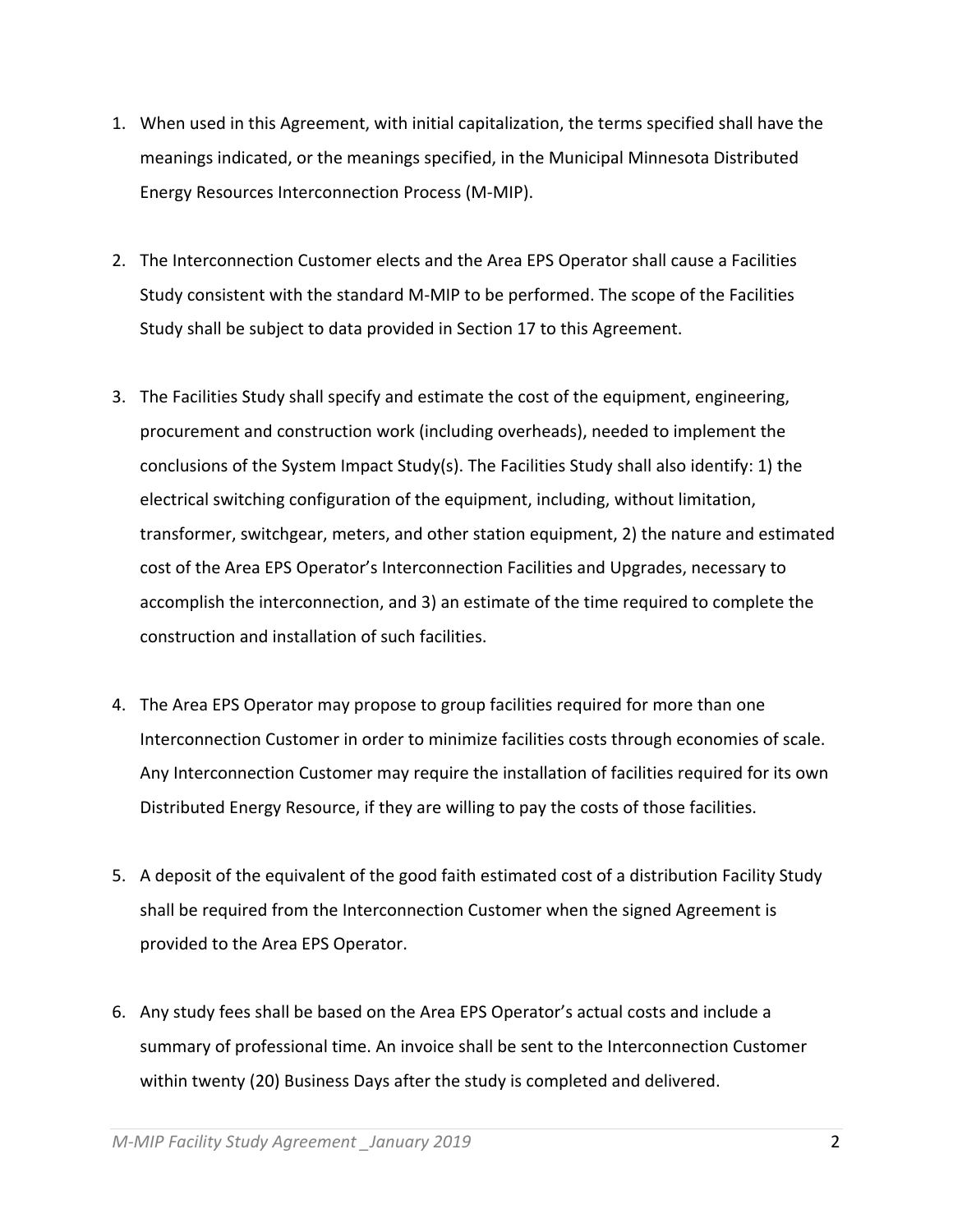- 1. When used in this Agreement, with initial capitalization, the terms specified shall have the meanings indicated, or the meanings specified, in the Municipal Minnesota Distributed Energy Resources Interconnection Process (M‐MIP).
- 2. The Interconnection Customer elects and the Area EPS Operator shall cause a Facilities Study consistent with the standard M‐MIP to be performed. The scope of the Facilities Study shall be subject to data provided in Section 17 to this Agreement.
- 3. The Facilities Study shall specify and estimate the cost of the equipment, engineering, procurement and construction work (including overheads), needed to implement the conclusions of the System Impact Study(s). The Facilities Study shall also identify: 1) the electrical switching configuration of the equipment, including, without limitation, transformer, switchgear, meters, and other station equipment, 2) the nature and estimated cost of the Area EPS Operator's Interconnection Facilities and Upgrades, necessary to accomplish the interconnection, and 3) an estimate of the time required to complete the construction and installation of such facilities.
- 4. The Area EPS Operator may propose to group facilities required for more than one Interconnection Customer in order to minimize facilities costs through economies of scale. Any Interconnection Customer may require the installation of facilities required for its own Distributed Energy Resource, if they are willing to pay the costs of those facilities.
- 5. A deposit of the equivalent of the good faith estimated cost of a distribution Facility Study shall be required from the Interconnection Customer when the signed Agreement is provided to the Area EPS Operator.
- 6. Any study fees shall be based on the Area EPS Operator's actual costs and include a summary of professional time. An invoice shall be sent to the Interconnection Customer within twenty (20) Business Days after the study is completed and delivered.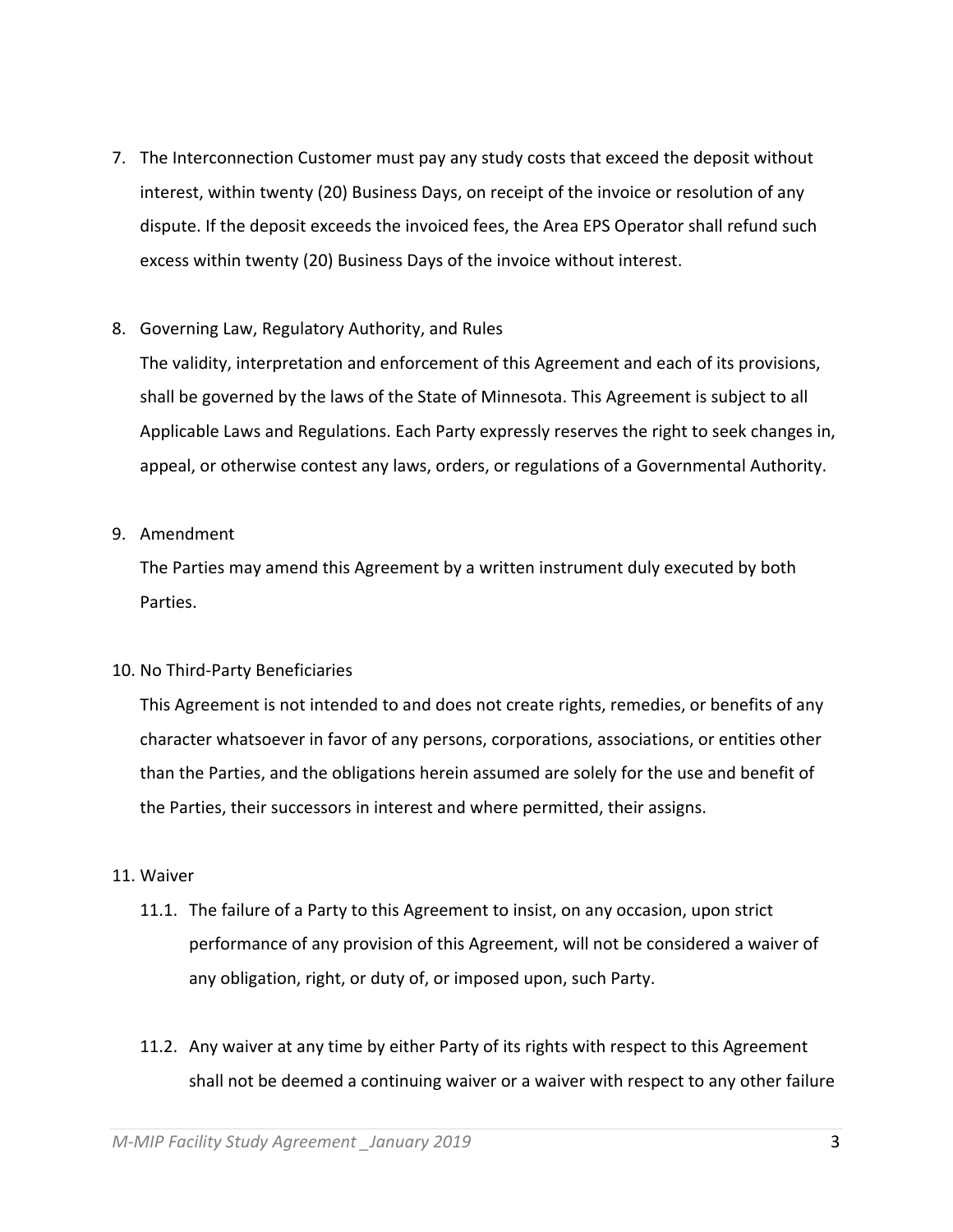- 7. The Interconnection Customer must pay any study costs that exceed the deposit without interest, within twenty (20) Business Days, on receipt of the invoice or resolution of any dispute. If the deposit exceeds the invoiced fees, the Area EPS Operator shall refund such excess within twenty (20) Business Days of the invoice without interest.
- 8. Governing Law, Regulatory Authority, and Rules

The validity, interpretation and enforcement of this Agreement and each of its provisions, shall be governed by the laws of the State of Minnesota. This Agreement is subject to all Applicable Laws and Regulations. Each Party expressly reserves the right to seek changes in, appeal, or otherwise contest any laws, orders, or regulations of a Governmental Authority.

9. Amendment

The Parties may amend this Agreement by a written instrument duly executed by both Parties.

10. No Third‐Party Beneficiaries

This Agreement is not intended to and does not create rights, remedies, or benefits of any character whatsoever in favor of any persons, corporations, associations, or entities other than the Parties, and the obligations herein assumed are solely for the use and benefit of the Parties, their successors in interest and where permitted, their assigns.

- 11. Waiver
	- 11.1. The failure of a Party to this Agreement to insist, on any occasion, upon strict performance of any provision of this Agreement, will not be considered a waiver of any obligation, right, or duty of, or imposed upon, such Party.
	- 11.2. Any waiver at any time by either Party of its rights with respect to this Agreement shall not be deemed a continuing waiver or a waiver with respect to any other failure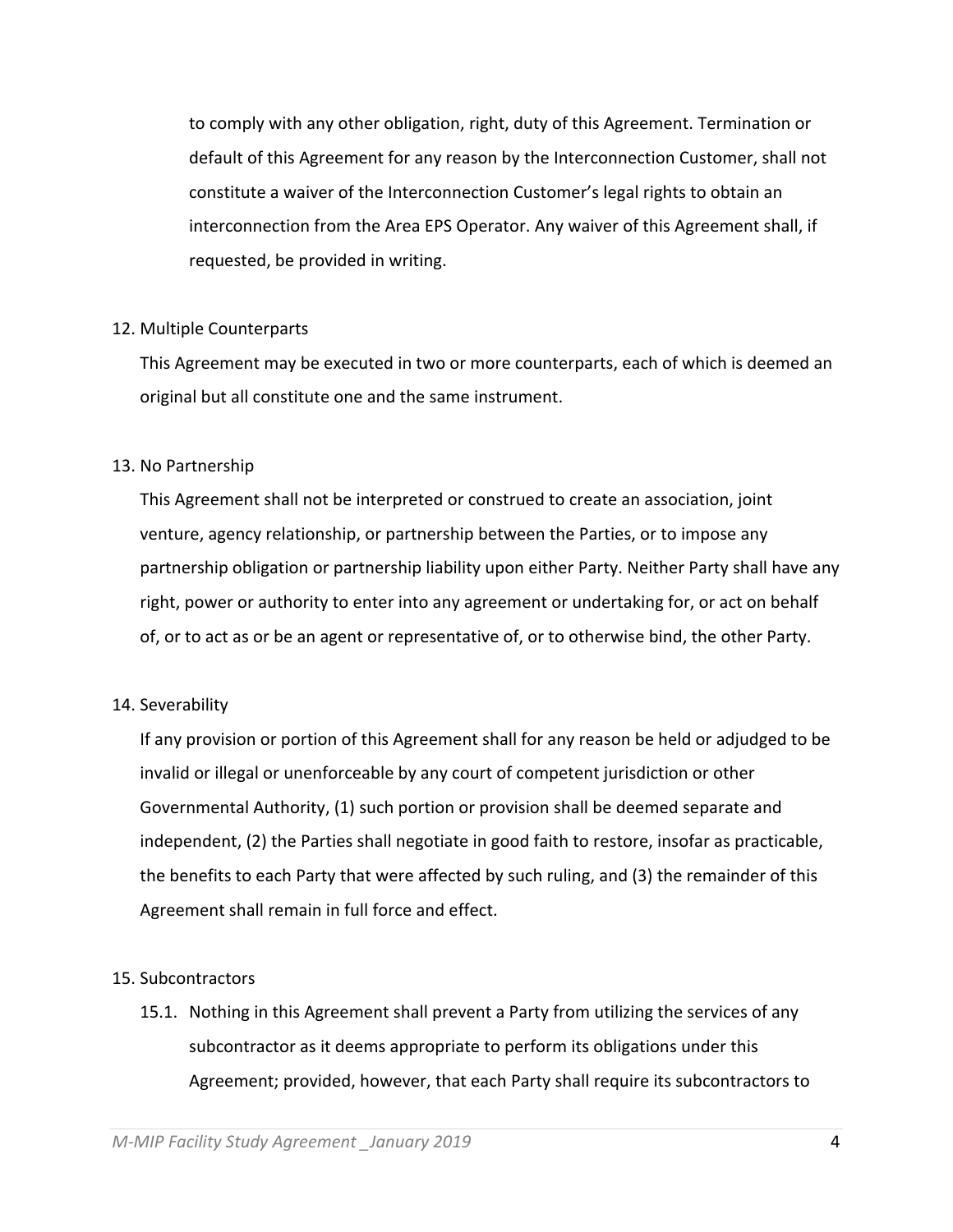to comply with any other obligation, right, duty of this Agreement. Termination or default of this Agreement for any reason by the Interconnection Customer, shall not constitute a waiver of the Interconnection Customer's legal rights to obtain an interconnection from the Area EPS Operator. Any waiver of this Agreement shall, if requested, be provided in writing.

#### 12. Multiple Counterparts

This Agreement may be executed in two or more counterparts, each of which is deemed an original but all constitute one and the same instrument.

#### 13. No Partnership

This Agreement shall not be interpreted or construed to create an association, joint venture, agency relationship, or partnership between the Parties, or to impose any partnership obligation or partnership liability upon either Party. Neither Party shall have any right, power or authority to enter into any agreement or undertaking for, or act on behalf of, or to act as or be an agent or representative of, or to otherwise bind, the other Party.

#### 14. Severability

If any provision or portion of this Agreement shall for any reason be held or adjudged to be invalid or illegal or unenforceable by any court of competent jurisdiction or other Governmental Authority, (1) such portion or provision shall be deemed separate and independent, (2) the Parties shall negotiate in good faith to restore, insofar as practicable, the benefits to each Party that were affected by such ruling, and (3) the remainder of this Agreement shall remain in full force and effect.

#### 15. Subcontractors

15.1. Nothing in this Agreement shall prevent a Party from utilizing the services of any subcontractor as it deems appropriate to perform its obligations under this Agreement; provided, however, that each Party shall require its subcontractors to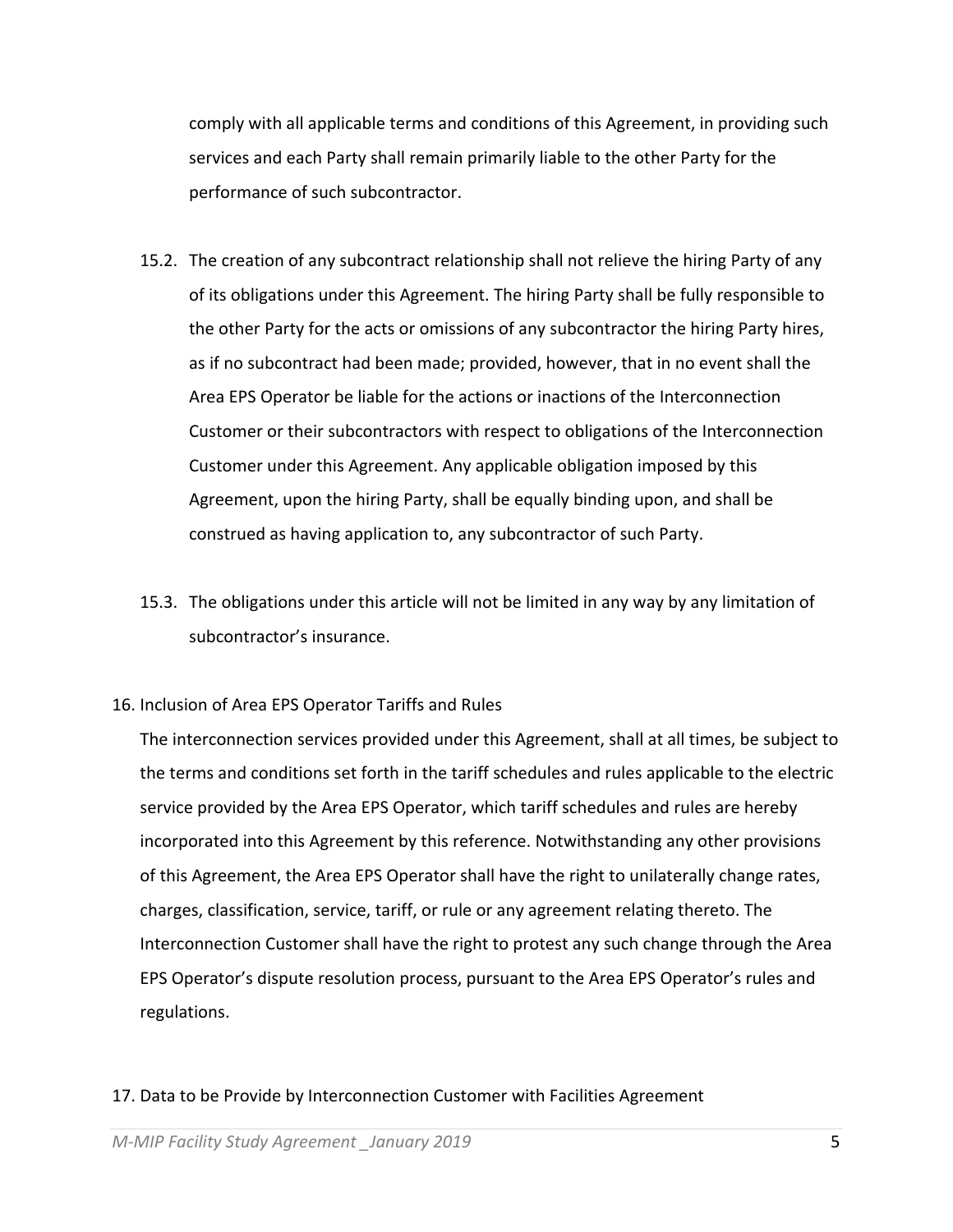comply with all applicable terms and conditions of this Agreement, in providing such services and each Party shall remain primarily liable to the other Party for the performance of such subcontractor.

- 15.2. The creation of any subcontract relationship shall not relieve the hiring Party of any of its obligations under this Agreement. The hiring Party shall be fully responsible to the other Party for the acts or omissions of any subcontractor the hiring Party hires, as if no subcontract had been made; provided, however, that in no event shall the Area EPS Operator be liable for the actions or inactions of the Interconnection Customer or their subcontractors with respect to obligations of the Interconnection Customer under this Agreement. Any applicable obligation imposed by this Agreement, upon the hiring Party, shall be equally binding upon, and shall be construed as having application to, any subcontractor of such Party.
- 15.3. The obligations under this article will not be limited in any way by any limitation of subcontractor's insurance.
- 16. Inclusion of Area EPS Operator Tariffs and Rules

The interconnection services provided under this Agreement, shall at all times, be subject to the terms and conditions set forth in the tariff schedules and rules applicable to the electric service provided by the Area EPS Operator, which tariff schedules and rules are hereby incorporated into this Agreement by this reference. Notwithstanding any other provisions of this Agreement, the Area EPS Operator shall have the right to unilaterally change rates, charges, classification, service, tariff, or rule or any agreement relating thereto. The Interconnection Customer shall have the right to protest any such change through the Area EPS Operator's dispute resolution process, pursuant to the Area EPS Operator's rules and regulations.

#### 17. Data to be Provide by Interconnection Customer with Facilities Agreement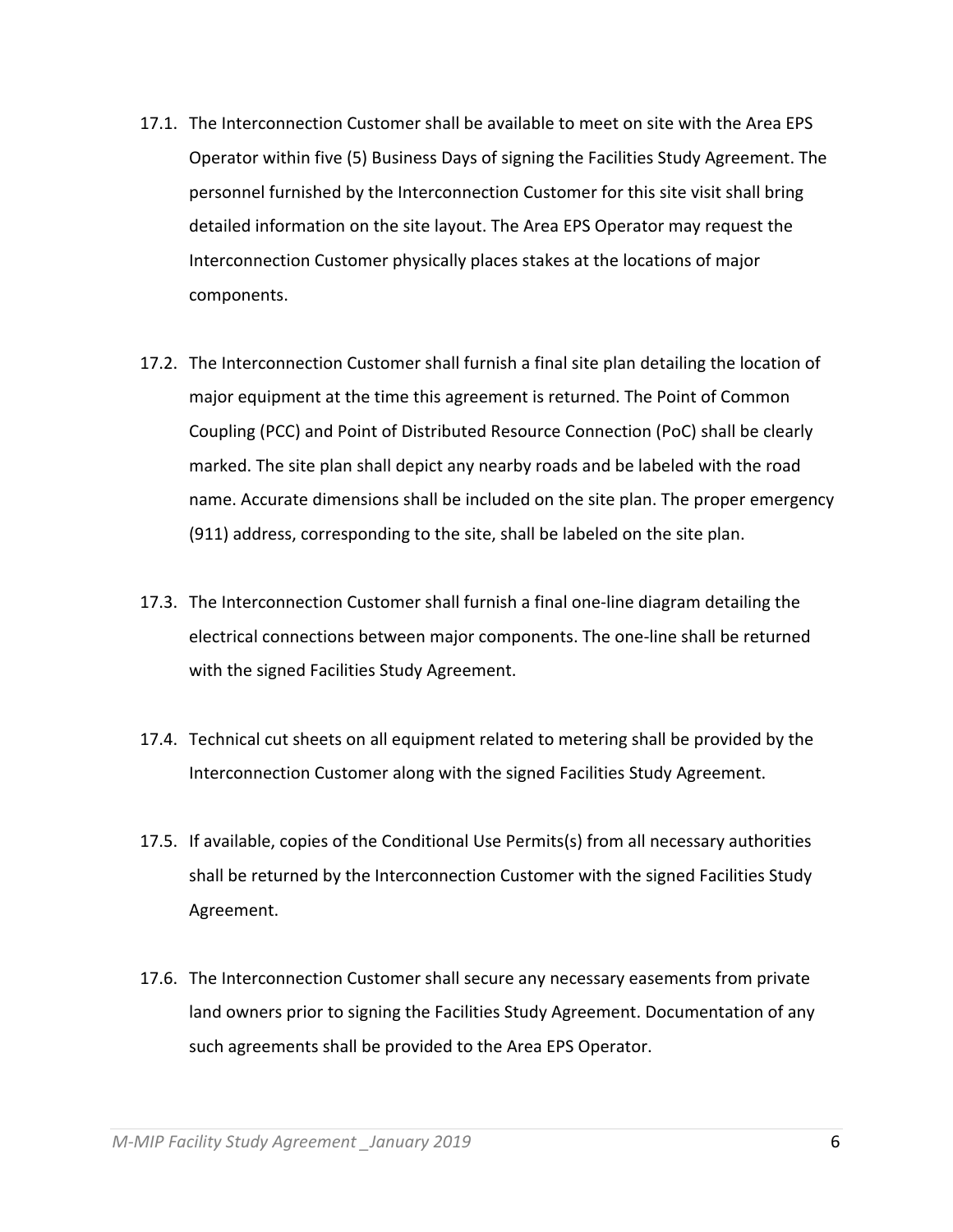- 17.1. The Interconnection Customer shall be available to meet on site with the Area EPS Operator within five (5) Business Days of signing the Facilities Study Agreement. The personnel furnished by the Interconnection Customer for this site visit shall bring detailed information on the site layout. The Area EPS Operator may request the Interconnection Customer physically places stakes at the locations of major components.
- 17.2. The Interconnection Customer shall furnish a final site plan detailing the location of major equipment at the time this agreement is returned. The Point of Common Coupling (PCC) and Point of Distributed Resource Connection (PoC) shall be clearly marked. The site plan shall depict any nearby roads and be labeled with the road name. Accurate dimensions shall be included on the site plan. The proper emergency (911) address, corresponding to the site, shall be labeled on the site plan.
- 17.3. The Interconnection Customer shall furnish a final one‐line diagram detailing the electrical connections between major components. The one‐line shall be returned with the signed Facilities Study Agreement.
- 17.4. Technical cut sheets on all equipment related to metering shall be provided by the Interconnection Customer along with the signed Facilities Study Agreement.
- 17.5. If available, copies of the Conditional Use Permits(s) from all necessary authorities shall be returned by the Interconnection Customer with the signed Facilities Study Agreement.
- 17.6. The Interconnection Customer shall secure any necessary easements from private land owners prior to signing the Facilities Study Agreement. Documentation of any such agreements shall be provided to the Area EPS Operator.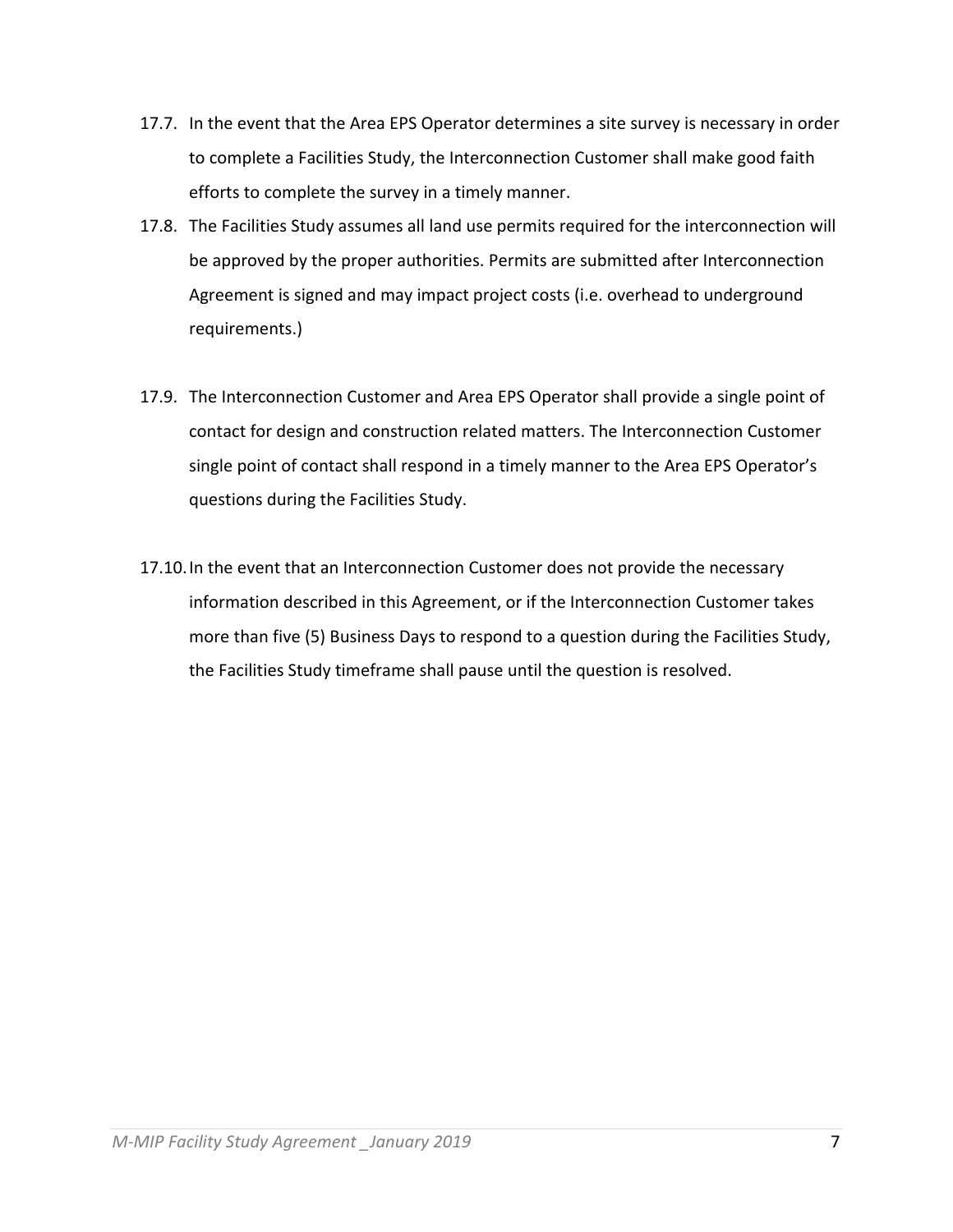- 17.7. In the event that the Area EPS Operator determines a site survey is necessary in order to complete a Facilities Study, the Interconnection Customer shall make good faith efforts to complete the survey in a timely manner.
- 17.8. The Facilities Study assumes all land use permits required for the interconnection will be approved by the proper authorities. Permits are submitted after Interconnection Agreement is signed and may impact project costs (i.e. overhead to underground requirements.)
- 17.9. The Interconnection Customer and Area EPS Operator shall provide a single point of contact for design and construction related matters. The Interconnection Customer single point of contact shall respond in a timely manner to the Area EPS Operator's questions during the Facilities Study.
- 17.10.In the event that an Interconnection Customer does not provide the necessary information described in this Agreement, or if the Interconnection Customer takes more than five (5) Business Days to respond to a question during the Facilities Study, the Facilities Study timeframe shall pause until the question is resolved.